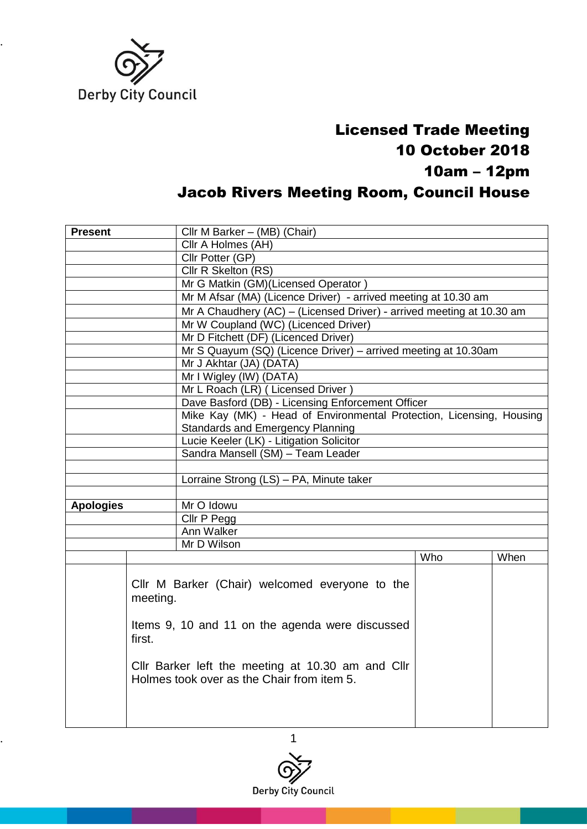

## Licensed Trade Meeting 10 October 2018 10am – 12pm Jacob Rivers Meeting Room, Council House

| <b>Present</b>                                                        |                                                                                                 | Cllr M Barker - (MB) (Chair)                                                                      |     |      |  |
|-----------------------------------------------------------------------|-------------------------------------------------------------------------------------------------|---------------------------------------------------------------------------------------------------|-----|------|--|
|                                                                       |                                                                                                 | Cllr A Holmes (AH)                                                                                |     |      |  |
|                                                                       |                                                                                                 | Cllr Potter (GP)                                                                                  |     |      |  |
|                                                                       |                                                                                                 | Cllr R Skelton (RS)                                                                               |     |      |  |
|                                                                       |                                                                                                 | Mr G Matkin (GM)(Licensed Operator)                                                               |     |      |  |
| Mr M Afsar (MA) (Licence Driver) - arrived meeting at 10.30 am        |                                                                                                 |                                                                                                   |     |      |  |
| Mr A Chaudhery (AC) - (Licensed Driver) - arrived meeting at 10.30 am |                                                                                                 |                                                                                                   |     |      |  |
| Mr W Coupland (WC) (Licenced Driver)                                  |                                                                                                 |                                                                                                   |     |      |  |
|                                                                       |                                                                                                 | Mr D Fitchett (DF) (Licenced Driver)                                                              |     |      |  |
|                                                                       |                                                                                                 | Mr S Quayum (SQ) (Licence Driver) - arrived meeting at 10.30am                                    |     |      |  |
|                                                                       |                                                                                                 | Mr J Akhtar (JA) (DATA)                                                                           |     |      |  |
|                                                                       |                                                                                                 | Mr I Wigley (IW) (DATA)                                                                           |     |      |  |
|                                                                       |                                                                                                 | Mr L Roach (LR) (Licensed Driver)                                                                 |     |      |  |
|                                                                       |                                                                                                 | Dave Basford (DB) - Licensing Enforcement Officer                                                 |     |      |  |
|                                                                       |                                                                                                 | Mike Kay (MK) - Head of Environmental Protection, Licensing, Housing                              |     |      |  |
|                                                                       |                                                                                                 | <b>Standards and Emergency Planning</b>                                                           |     |      |  |
|                                                                       | Lucie Keeler (LK) - Litigation Solicitor                                                        |                                                                                                   |     |      |  |
|                                                                       | Sandra Mansell (SM) - Team Leader                                                               |                                                                                                   |     |      |  |
|                                                                       |                                                                                                 |                                                                                                   |     |      |  |
|                                                                       | Lorraine Strong (LS) - PA, Minute taker                                                         |                                                                                                   |     |      |  |
|                                                                       |                                                                                                 |                                                                                                   |     |      |  |
| <b>Apologies</b>                                                      |                                                                                                 | Mr O Idowu                                                                                        |     |      |  |
|                                                                       |                                                                                                 | Cllr P Pegg                                                                                       |     |      |  |
| Ann Walker                                                            |                                                                                                 |                                                                                                   |     |      |  |
|                                                                       |                                                                                                 | Mr D Wilson                                                                                       |     |      |  |
|                                                                       |                                                                                                 |                                                                                                   | Who | When |  |
|                                                                       | meeting.<br>first.                                                                              | Cllr M Barker (Chair) welcomed everyone to the<br>Items 9, 10 and 11 on the agenda were discussed |     |      |  |
|                                                                       | Cllr Barker left the meeting at 10.30 am and Cllr<br>Holmes took over as the Chair from item 5. |                                                                                                   |     |      |  |

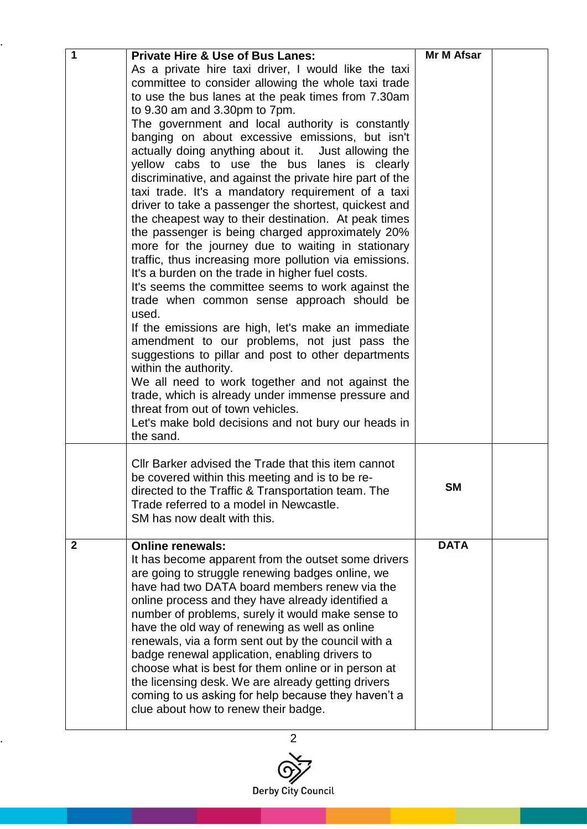| $\overline{\mathbf{1}}$ | <b>Private Hire &amp; Use of Bus Lanes:</b>                                                                    | Mr M Afsar  |  |
|-------------------------|----------------------------------------------------------------------------------------------------------------|-------------|--|
|                         | As a private hire taxi driver, I would like the taxi                                                           |             |  |
|                         | committee to consider allowing the whole taxi trade                                                            |             |  |
|                         | to use the bus lanes at the peak times from 7.30am                                                             |             |  |
|                         | to 9.30 am and 3.30pm to 7pm.                                                                                  |             |  |
|                         | The government and local authority is constantly                                                               |             |  |
|                         | banging on about excessive emissions, but isn't                                                                |             |  |
|                         | actually doing anything about it.  Just allowing the                                                           |             |  |
|                         | yellow cabs to use the bus lanes is clearly                                                                    |             |  |
|                         | discriminative, and against the private hire part of the<br>taxi trade. It's a mandatory requirement of a taxi |             |  |
|                         | driver to take a passenger the shortest, quickest and                                                          |             |  |
|                         | the cheapest way to their destination. At peak times                                                           |             |  |
|                         | the passenger is being charged approximately 20%                                                               |             |  |
|                         | more for the journey due to waiting in stationary                                                              |             |  |
|                         | traffic, thus increasing more pollution via emissions.                                                         |             |  |
|                         | It's a burden on the trade in higher fuel costs.                                                               |             |  |
|                         | It's seems the committee seems to work against the                                                             |             |  |
|                         | trade when common sense approach should be                                                                     |             |  |
|                         | used.                                                                                                          |             |  |
|                         | If the emissions are high, let's make an immediate                                                             |             |  |
|                         | amendment to our problems, not just pass the                                                                   |             |  |
|                         | suggestions to pillar and post to other departments                                                            |             |  |
|                         | within the authority.<br>We all need to work together and not against the                                      |             |  |
|                         | trade, which is already under immense pressure and                                                             |             |  |
|                         | threat from out of town vehicles.                                                                              |             |  |
|                         | Let's make bold decisions and not bury our heads in                                                            |             |  |
|                         | the sand.                                                                                                      |             |  |
|                         |                                                                                                                |             |  |
|                         | Cllr Barker advised the Trade that this item cannot                                                            |             |  |
|                         | be covered within this meeting and is to be re-                                                                | <b>SM</b>   |  |
|                         | directed to the Traffic & Transportation team. The                                                             |             |  |
|                         | Trade referred to a model in Newcastle.<br>SM has now dealt with this.                                         |             |  |
|                         |                                                                                                                |             |  |
| $\mathbf{2}$            | <b>Online renewals:</b>                                                                                        | <b>DATA</b> |  |
|                         | It has become apparent from the outset some drivers                                                            |             |  |
|                         | are going to struggle renewing badges online, we                                                               |             |  |
|                         | have had two DATA board members renew via the                                                                  |             |  |
|                         | online process and they have already identified a                                                              |             |  |
|                         | number of problems, surely it would make sense to                                                              |             |  |
|                         | have the old way of renewing as well as online                                                                 |             |  |
|                         | renewals, via a form sent out by the council with a<br>badge renewal application, enabling drivers to          |             |  |
|                         | choose what is best for them online or in person at                                                            |             |  |
|                         | the licensing desk. We are already getting drivers                                                             |             |  |
|                         | coming to us asking for help because they haven't a                                                            |             |  |
|                         | clue about how to renew their badge.                                                                           |             |  |
|                         |                                                                                                                |             |  |

..

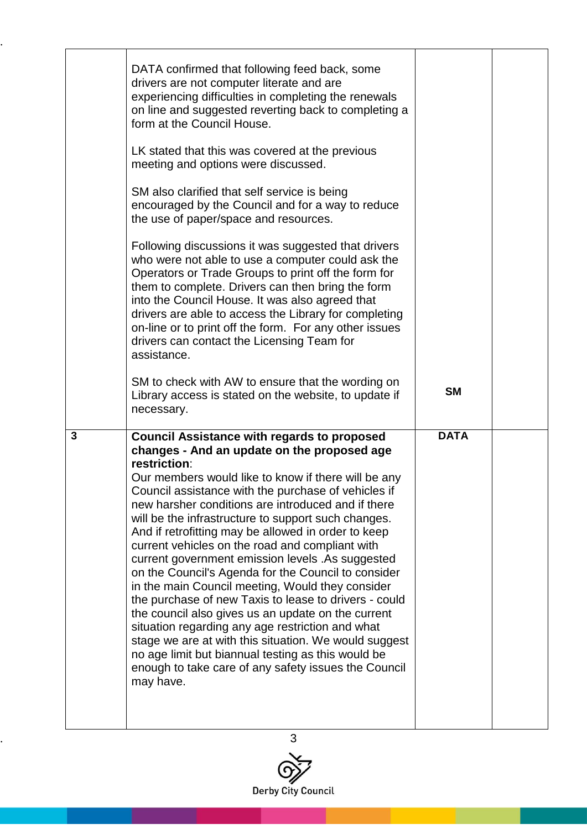|                | DATA confirmed that following feed back, some<br>drivers are not computer literate and are<br>experiencing difficulties in completing the renewals<br>on line and suggested reverting back to completing a<br>form at the Council House.<br>LK stated that this was covered at the previous<br>meeting and options were discussed.<br>SM also clarified that self service is being<br>encouraged by the Council and for a way to reduce<br>the use of paper/space and resources.<br>Following discussions it was suggested that drivers<br>who were not able to use a computer could ask the<br>Operators or Trade Groups to print off the form for<br>them to complete. Drivers can then bring the form<br>into the Council House. It was also agreed that<br>drivers are able to access the Library for completing<br>on-line or to print off the form. For any other issues<br>drivers can contact the Licensing Team for<br>assistance.                                  |             |  |
|----------------|------------------------------------------------------------------------------------------------------------------------------------------------------------------------------------------------------------------------------------------------------------------------------------------------------------------------------------------------------------------------------------------------------------------------------------------------------------------------------------------------------------------------------------------------------------------------------------------------------------------------------------------------------------------------------------------------------------------------------------------------------------------------------------------------------------------------------------------------------------------------------------------------------------------------------------------------------------------------------|-------------|--|
|                | SM to check with AW to ensure that the wording on<br>Library access is stated on the website, to update if<br>necessary.                                                                                                                                                                                                                                                                                                                                                                                                                                                                                                                                                                                                                                                                                                                                                                                                                                                     | <b>SM</b>   |  |
| $\overline{3}$ | <b>Council Assistance with regards to proposed</b><br>changes - And an update on the proposed age<br>restriction:<br>Our members would like to know if there will be any<br>Council assistance with the purchase of vehicles if<br>new harsher conditions are introduced and if there<br>will be the infrastructure to support such changes.<br>And if retrofitting may be allowed in order to keep<br>current vehicles on the road and compliant with<br>current government emission levels .As suggested<br>on the Council's Agenda for the Council to consider<br>in the main Council meeting, Would they consider<br>the purchase of new Taxis to lease to drivers - could<br>the council also gives us an update on the current<br>situation regarding any age restriction and what<br>stage we are at with this situation. We would suggest<br>no age limit but biannual testing as this would be<br>enough to take care of any safety issues the Council<br>may have. | <b>DATA</b> |  |

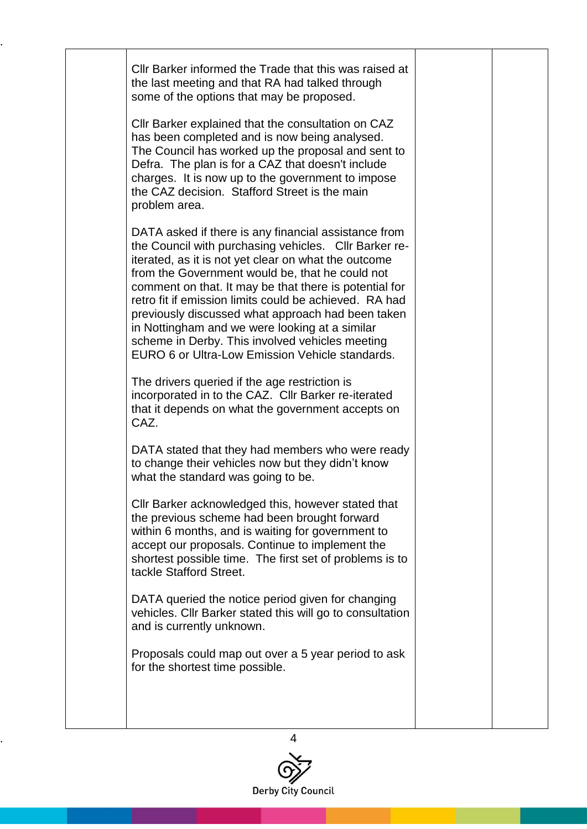Cllr Barker informed the Trade that this was raised at the last meeting and that RA had talked through some of the options that may be proposed. Cllr Barker explained that the consultation on CAZ has been completed and is now being analysed. The Council has worked up the proposal and sent to Defra. The plan is for a CAZ that doesn't include charges. It is now up to the government to impose the CAZ decision. Stafford Street is the main problem area. DATA asked if there is any financial assistance from the Council with purchasing vehicles. Cllr Barker reiterated, as it is not yet clear on what the outcome from the Government would be, that he could not comment on that. It may be that there is potential for retro fit if emission limits could be achieved. RA had previously discussed what approach had been taken in Nottingham and we were looking at a similar scheme in Derby. This involved vehicles meeting EURO 6 or Ultra-Low Emission Vehicle standards. The drivers queried if the age restriction is incorporated in to the CAZ. Cllr Barker re-iterated that it depends on what the government accepts on CAZ. DATA stated that they had members who were ready to change their vehicles now but they didn't know what the standard was going to be. Cllr Barker acknowledged this, however stated that the previous scheme had been brought forward within 6 months, and is waiting for government to accept our proposals. Continue to implement the shortest possible time. The first set of problems is to tackle Stafford Street. DATA queried the notice period given for changing vehicles. Cllr Barker stated this will go to consultation and is currently unknown. Proposals could map out over a 5 year period to ask for the shortest time possible.

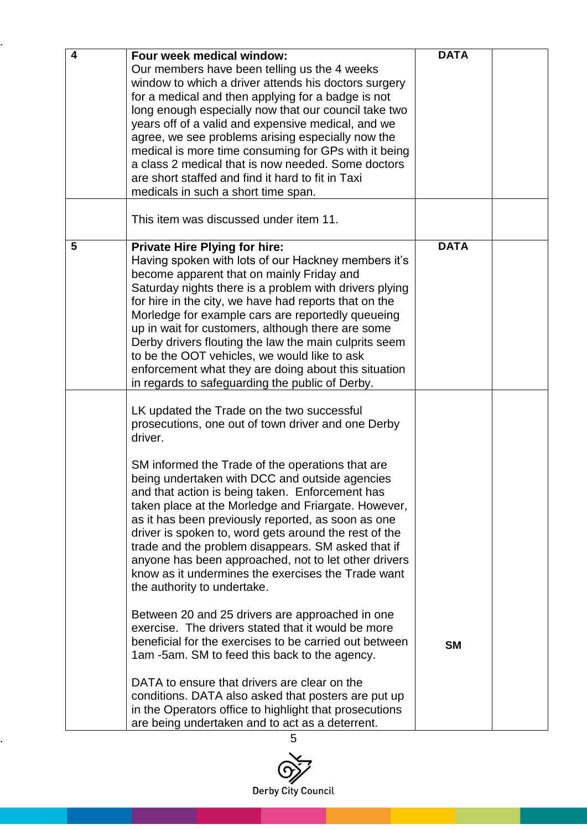| $\overline{\mathbf{4}}$ | Four week medical window:                              | <b>DATA</b> |  |
|-------------------------|--------------------------------------------------------|-------------|--|
|                         | Our members have been telling us the 4 weeks           |             |  |
|                         | window to which a driver attends his doctors surgery   |             |  |
|                         |                                                        |             |  |
|                         | for a medical and then applying for a badge is not     |             |  |
|                         | long enough especially now that our council take two   |             |  |
|                         | years off of a valid and expensive medical, and we     |             |  |
|                         | agree, we see problems arising especially now the      |             |  |
|                         | medical is more time consuming for GPs with it being   |             |  |
|                         | a class 2 medical that is now needed. Some doctors     |             |  |
|                         | are short staffed and find it hard to fit in Taxi      |             |  |
|                         | medicals in such a short time span.                    |             |  |
|                         | This item was discussed under item 11.                 |             |  |
|                         |                                                        |             |  |
| 5                       | <b>Private Hire Plying for hire:</b>                   | <b>DATA</b> |  |
|                         | Having spoken with lots of our Hackney members it's    |             |  |
|                         | become apparent that on mainly Friday and              |             |  |
|                         | Saturday nights there is a problem with drivers plying |             |  |
|                         | for hire in the city, we have had reports that on the  |             |  |
|                         | Morledge for example cars are reportedly queueing      |             |  |
|                         | up in wait for customers, although there are some      |             |  |
|                         | Derby drivers flouting the law the main culprits seem  |             |  |
|                         | to be the OOT vehicles, we would like to ask           |             |  |
|                         | enforcement what they are doing about this situation   |             |  |
|                         | in regards to safeguarding the public of Derby.        |             |  |
|                         | LK updated the Trade on the two successful             |             |  |
|                         | prosecutions, one out of town driver and one Derby     |             |  |
|                         | driver.                                                |             |  |
|                         |                                                        |             |  |
|                         | SM informed the Trade of the operations that are       |             |  |
|                         | being undertaken with DCC and outside agencies         |             |  |
|                         | and that action is being taken. Enforcement has        |             |  |
|                         | taken place at the Morledge and Friargate. However,    |             |  |
|                         | as it has been previously reported, as soon as one     |             |  |
|                         |                                                        |             |  |
|                         | driver is spoken to, word gets around the rest of the  |             |  |
|                         | trade and the problem disappears. SM asked that if     |             |  |
|                         | anyone has been approached, not to let other drivers   |             |  |
|                         | know as it undermines the exercises the Trade want     |             |  |
|                         | the authority to undertake.                            |             |  |
|                         | Between 20 and 25 drivers are approached in one        |             |  |
|                         | exercise. The drivers stated that it would be more     |             |  |
|                         | beneficial for the exercises to be carried out between | <b>SM</b>   |  |
|                         | 1am -5am. SM to feed this back to the agency.          |             |  |
|                         |                                                        |             |  |
|                         | DATA to ensure that drivers are clear on the           |             |  |
|                         | conditions. DATA also asked that posters are put up    |             |  |
|                         | in the Operators office to highlight that prosecutions |             |  |
|                         | are being undertaken and to act as a deterrent.        |             |  |

..

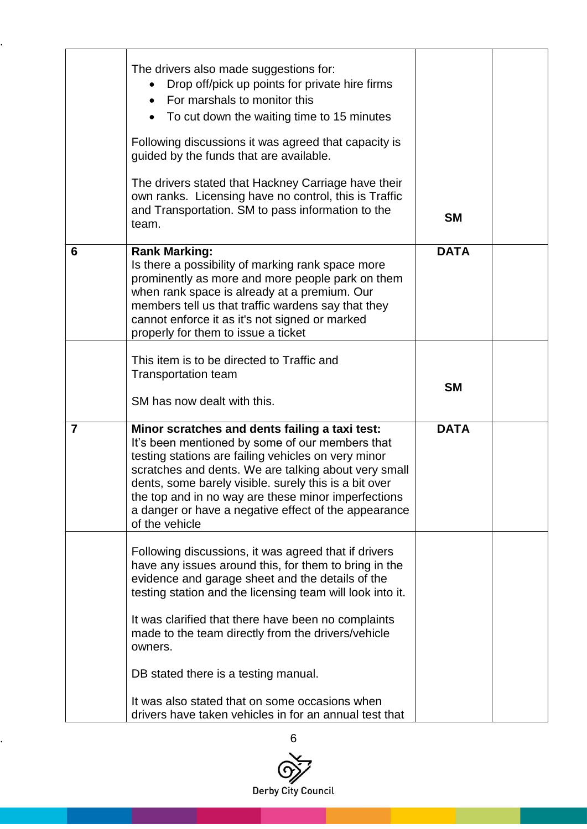|                | The drivers also made suggestions for:<br>Drop off/pick up points for private hire firms<br>For marshals to monitor this<br>$\bullet$<br>To cut down the waiting time to 15 minutes<br>Following discussions it was agreed that capacity is<br>guided by the funds that are available.<br>The drivers stated that Hackney Carriage have their<br>own ranks. Licensing have no control, this is Traffic<br>and Transportation. SM to pass information to the<br>team. | <b>SM</b>   |  |
|----------------|----------------------------------------------------------------------------------------------------------------------------------------------------------------------------------------------------------------------------------------------------------------------------------------------------------------------------------------------------------------------------------------------------------------------------------------------------------------------|-------------|--|
| 6              | <b>Rank Marking:</b><br>Is there a possibility of marking rank space more<br>prominently as more and more people park on them<br>when rank space is already at a premium. Our<br>members tell us that traffic wardens say that they<br>cannot enforce it as it's not signed or marked<br>properly for them to issue a ticket                                                                                                                                         | <b>DATA</b> |  |
|                | This item is to be directed to Traffic and<br><b>Transportation team</b><br>SM has now dealt with this.                                                                                                                                                                                                                                                                                                                                                              | <b>SM</b>   |  |
| $\overline{7}$ | Minor scratches and dents failing a taxi test:<br>It's been mentioned by some of our members that<br>testing stations are failing vehicles on very minor<br>scratches and dents. We are talking about very small<br>dents, some barely visible. surely this is a bit over<br>the top and in no way are these minor imperfections<br>a danger or have a negative effect of the appearance<br>of the vehicle                                                           | <b>DATA</b> |  |
|                | Following discussions, it was agreed that if drivers<br>have any issues around this, for them to bring in the<br>evidence and garage sheet and the details of the<br>testing station and the licensing team will look into it.<br>It was clarified that there have been no complaints<br>made to the team directly from the drivers/vehicle<br>owners.                                                                                                               |             |  |
|                | DB stated there is a testing manual.<br>It was also stated that on some occasions when<br>drivers have taken vehicles in for an annual test that                                                                                                                                                                                                                                                                                                                     |             |  |

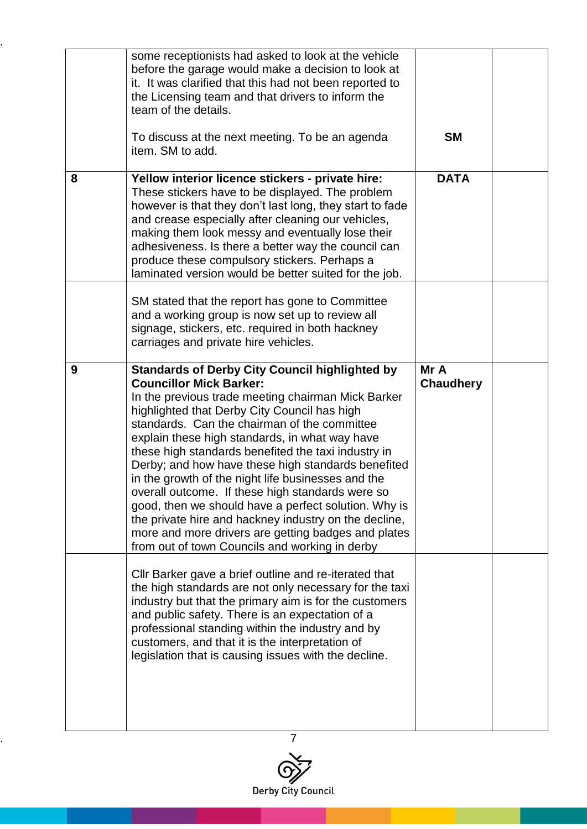|   | some receptionists had asked to look at the vehicle<br>before the garage would make a decision to look at<br>it. It was clarified that this had not been reported to<br>the Licensing team and that drivers to inform the<br>team of the details.<br>To discuss at the next meeting. To be an agenda<br>item. SM to add.                                                                                                                                                                                                                        | <b>SM</b>                |  |
|---|-------------------------------------------------------------------------------------------------------------------------------------------------------------------------------------------------------------------------------------------------------------------------------------------------------------------------------------------------------------------------------------------------------------------------------------------------------------------------------------------------------------------------------------------------|--------------------------|--|
| 8 | Yellow interior licence stickers - private hire:<br>These stickers have to be displayed. The problem<br>however is that they don't last long, they start to fade<br>and crease especially after cleaning our vehicles,<br>making them look messy and eventually lose their<br>adhesiveness. Is there a better way the council can<br>produce these compulsory stickers. Perhaps a<br>laminated version would be better suited for the job.                                                                                                      | <b>DATA</b>              |  |
|   | SM stated that the report has gone to Committee<br>and a working group is now set up to review all<br>signage, stickers, etc. required in both hackney<br>carriages and private hire vehicles.                                                                                                                                                                                                                                                                                                                                                  |                          |  |
| 9 | <b>Standards of Derby City Council highlighted by</b><br><b>Councillor Mick Barker:</b><br>In the previous trade meeting chairman Mick Barker<br>highlighted that Derby City Council has high                                                                                                                                                                                                                                                                                                                                                   | Mr A<br><b>Chaudhery</b> |  |
|   | standards. Can the chairman of the committee<br>explain these high standards, in what way have<br>these high standards benefited the taxi industry in<br>Derby; and how have these high standards benefited<br>in the growth of the night life businesses and the<br>overall outcome. If these high standards were so<br>good, then we should have a perfect solution. Why is<br>the private hire and hackney industry on the decline,<br>more and more drivers are getting badges and plates<br>from out of town Councils and working in derby |                          |  |

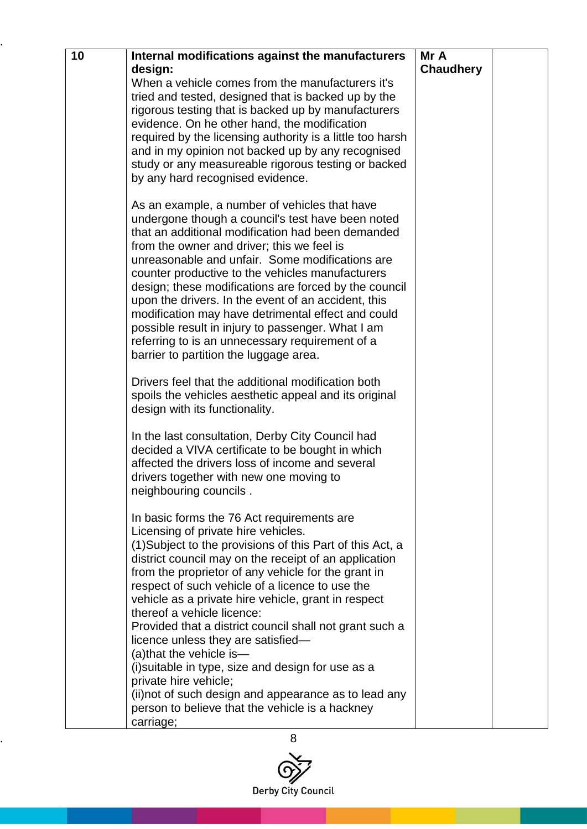| Internal modifications against the manufacturers                                                                                                                                                                                                                                                                                                                                                                                                                                                                                                                                                                                                                                                                               | Mr A                 |                  |
|--------------------------------------------------------------------------------------------------------------------------------------------------------------------------------------------------------------------------------------------------------------------------------------------------------------------------------------------------------------------------------------------------------------------------------------------------------------------------------------------------------------------------------------------------------------------------------------------------------------------------------------------------------------------------------------------------------------------------------|----------------------|------------------|
| When a vehicle comes from the manufacturers it's<br>tried and tested, designed that is backed up by the<br>rigorous testing that is backed up by manufacturers<br>evidence. On he other hand, the modification<br>required by the licensing authority is a little too harsh<br>and in my opinion not backed up by any recognised<br>study or any measureable rigorous testing or backed<br>by any hard recognised evidence.                                                                                                                                                                                                                                                                                                    |                      |                  |
| As an example, a number of vehicles that have<br>undergone though a council's test have been noted<br>that an additional modification had been demanded<br>from the owner and driver; this we feel is<br>unreasonable and unfair. Some modifications are<br>counter productive to the vehicles manufacturers<br>design; these modifications are forced by the council<br>upon the drivers. In the event of an accident, this<br>modification may have detrimental effect and could<br>possible result in injury to passenger. What I am<br>referring to is an unnecessary requirement of a<br>barrier to partition the luggage area.                                                                                           |                      |                  |
| Drivers feel that the additional modification both<br>spoils the vehicles aesthetic appeal and its original<br>design with its functionality.                                                                                                                                                                                                                                                                                                                                                                                                                                                                                                                                                                                  |                      |                  |
| In the last consultation, Derby City Council had<br>decided a VIVA certificate to be bought in which<br>affected the drivers loss of income and several<br>drivers together with new one moving to<br>neighbouring councils.                                                                                                                                                                                                                                                                                                                                                                                                                                                                                                   |                      |                  |
| In basic forms the 76 Act requirements are<br>Licensing of private hire vehicles.<br>(1) Subject to the provisions of this Part of this Act, a<br>district council may on the receipt of an application<br>from the proprietor of any vehicle for the grant in<br>respect of such vehicle of a licence to use the<br>vehicle as a private hire vehicle, grant in respect<br>thereof a vehicle licence:<br>Provided that a district council shall not grant such a<br>licence unless they are satisfied-<br>(a) that the vehicle is-<br>(i) suitable in type, size and design for use as a<br>private hire vehicle;<br>(ii) not of such design and appearance as to lead any<br>person to believe that the vehicle is a hackney |                      |                  |
|                                                                                                                                                                                                                                                                                                                                                                                                                                                                                                                                                                                                                                                                                                                                | design:<br>carriage; | <b>Chaudhery</b> |

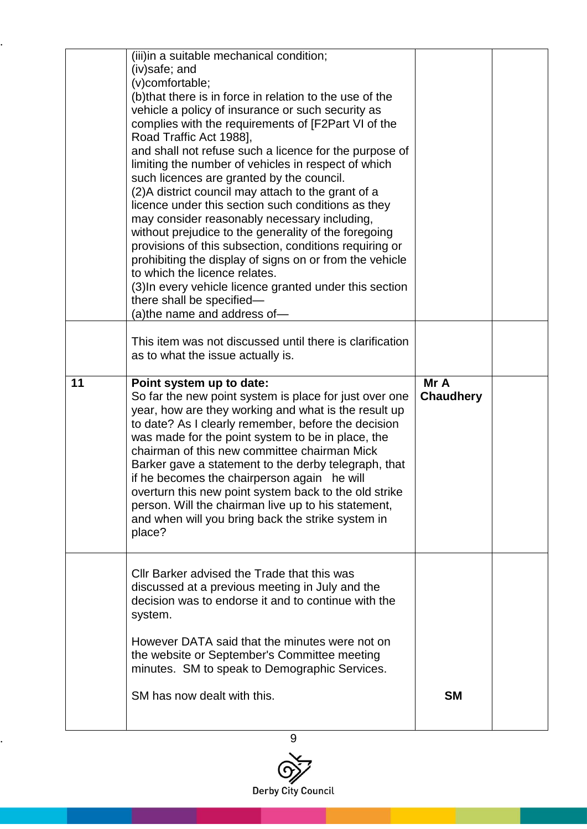|    | (iii)in a suitable mechanical condition;<br>(iv)safe; and<br>(v)comfortable;<br>(b) that there is in force in relation to the use of the<br>vehicle a policy of insurance or such security as<br>complies with the requirements of [F2Part VI of the<br>Road Traffic Act 1988],<br>and shall not refuse such a licence for the purpose of<br>limiting the number of vehicles in respect of which<br>such licences are granted by the council.                                                          |                          |  |
|----|--------------------------------------------------------------------------------------------------------------------------------------------------------------------------------------------------------------------------------------------------------------------------------------------------------------------------------------------------------------------------------------------------------------------------------------------------------------------------------------------------------|--------------------------|--|
|    | (2) A district council may attach to the grant of a<br>licence under this section such conditions as they<br>may consider reasonably necessary including,<br>without prejudice to the generality of the foregoing<br>provisions of this subsection, conditions requiring or<br>prohibiting the display of signs on or from the vehicle<br>to which the licence relates.<br>(3) In every vehicle licence granted under this section<br>there shall be specified-<br>(a)the name and address of—         |                          |  |
|    | This item was not discussed until there is clarification<br>as to what the issue actually is.                                                                                                                                                                                                                                                                                                                                                                                                          |                          |  |
| 11 | Point system up to date:<br>So far the new point system is place for just over one                                                                                                                                                                                                                                                                                                                                                                                                                     | Mr A<br><b>Chaudhery</b> |  |
|    | year, how are they working and what is the result up<br>to date? As I clearly remember, before the decision<br>was made for the point system to be in place, the<br>chairman of this new committee chairman Mick<br>Barker gave a statement to the derby telegraph, that<br>if he becomes the chairperson again he will<br>overturn this new point system back to the old strike<br>person. Will the chairman live up to his statement,<br>and when will you bring back the strike system in<br>place? |                          |  |
|    | Cllr Barker advised the Trade that this was<br>discussed at a previous meeting in July and the<br>decision was to endorse it and to continue with the<br>system.<br>However DATA said that the minutes were not on<br>the website or September's Committee meeting<br>minutes. SM to speak to Demographic Services.                                                                                                                                                                                    |                          |  |

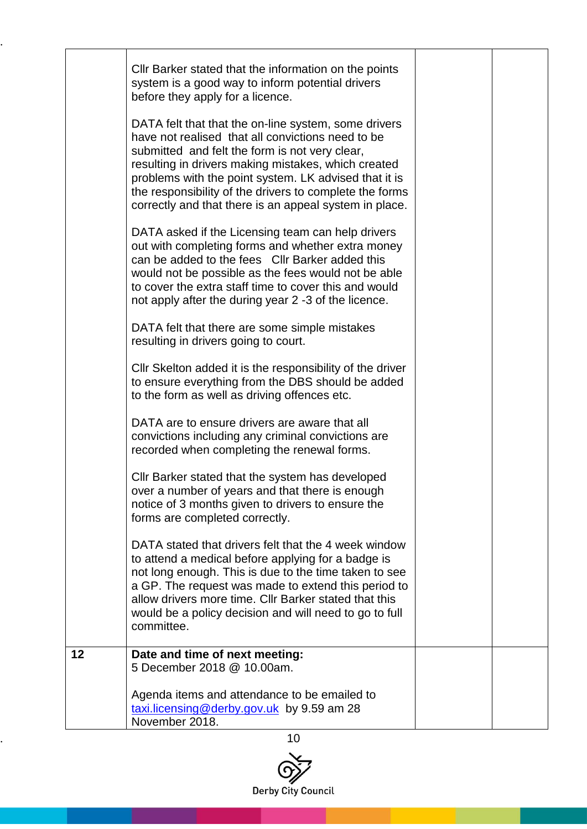|    | Cllr Barker stated that the information on the points                                                                                                                                                                                                                                                                                                                                            |  |
|----|--------------------------------------------------------------------------------------------------------------------------------------------------------------------------------------------------------------------------------------------------------------------------------------------------------------------------------------------------------------------------------------------------|--|
|    | system is a good way to inform potential drivers<br>before they apply for a licence.                                                                                                                                                                                                                                                                                                             |  |
|    | DATA felt that that the on-line system, some drivers<br>have not realised that all convictions need to be<br>submitted and felt the form is not very clear,<br>resulting in drivers making mistakes, which created<br>problems with the point system. LK advised that it is<br>the responsibility of the drivers to complete the forms<br>correctly and that there is an appeal system in place. |  |
|    | DATA asked if the Licensing team can help drivers<br>out with completing forms and whether extra money<br>can be added to the fees CIIr Barker added this<br>would not be possible as the fees would not be able<br>to cover the extra staff time to cover this and would<br>not apply after the during year 2 -3 of the licence.                                                                |  |
|    | DATA felt that there are some simple mistakes<br>resulting in drivers going to court.                                                                                                                                                                                                                                                                                                            |  |
|    | CIIr Skelton added it is the responsibility of the driver<br>to ensure everything from the DBS should be added<br>to the form as well as driving offences etc.                                                                                                                                                                                                                                   |  |
|    | DATA are to ensure drivers are aware that all<br>convictions including any criminal convictions are<br>recorded when completing the renewal forms.                                                                                                                                                                                                                                               |  |
|    | Cllr Barker stated that the system has developed<br>over a number of years and that there is enough<br>notice of 3 months given to drivers to ensure the<br>forms are completed correctly.                                                                                                                                                                                                       |  |
|    | DATA stated that drivers felt that the 4 week window<br>to attend a medical before applying for a badge is<br>not long enough. This is due to the time taken to see<br>a GP. The request was made to extend this period to<br>allow drivers more time. Cllr Barker stated that this<br>would be a policy decision and will need to go to full<br>committee.                                      |  |
| 12 | Date and time of next meeting:<br>5 December 2018 @ 10.00am.                                                                                                                                                                                                                                                                                                                                     |  |
|    | Agenda items and attendance to be emailed to<br>taxi.licensing@derby.gov.uk by 9.59 am 28<br>November 2018.                                                                                                                                                                                                                                                                                      |  |